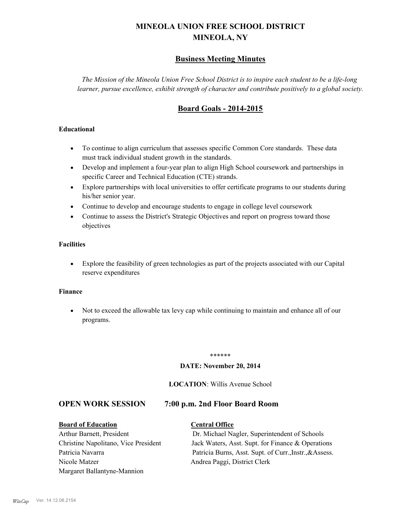## **MINEOLA UNION FREE SCHOOL DISTRICT MINEOLA, NY**

### **Business Meeting Minutes**

*The Mission of the Mineola Union Free School District is to inspire each student to be a life-long learner, pursue excellence, exhibit strength of character and contribute positively to a global society.*

### **Board Goals - 2014-2015**

### **Educational**

- · To continue to align curriculum that assesses specific Common Core standards. These data must track individual student growth in the standards.
- · Develop and implement a four-year plan to align High School coursework and partnerships in specific Career and Technical Education (CTE) strands.
- · Explore partnerships with local universities to offer certificate programs to our students during his/her senior year.
- · Continue to develop and encourage students to engage in college level coursework
- Continue to assess the District's Strategic Objectives and report on progress toward those objectives

### **Facilities**

· Explore the feasibility of green technologies as part of the projects associated with our Capital reserve expenditures

### **Finance**

· Not to exceed the allowable tax levy cap while continuing to maintain and enhance all of our programs.

### \*\*\*\*\*\*

### **DATE: November 20, 2014**

### **LOCATION**: Willis Avenue School

### **OPEN WORK SESSION 7:00 p.m. 2nd Floor Board Room**

# **Board of Education Central Office**

Arthur Barnett, President Dr. Michael Nagler, Superintendent of Schools Christine Napolitano, Vice President Jack Waters, Asst. Supt. for Finance & Operations Patricia Navarra Patricia Burns, Asst. Supt. of Curr., Instr., &Assess. Nicole Matzer Andrea Paggi, District Clerk Margaret Ballantyne-Mannion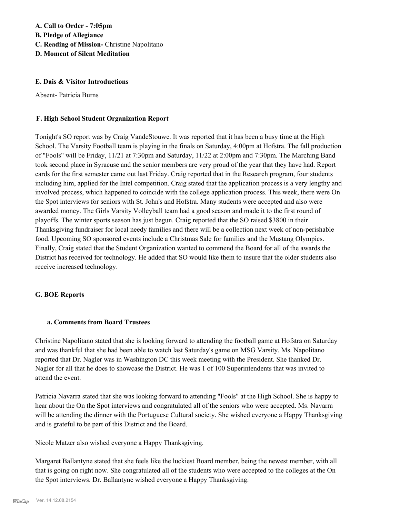**A. Call to Order - 7:05pm B. Pledge of Allegiance C. Reading of Mission-** Christine Napolitano **D. Moment of Silent Meditation**

### **E. Dais & Visitor Introductions**

Absent- Patricia Burns

### **F. High School Student Organization Report**

Tonight's SO report was by Craig VandeStouwe. It was reported that it has been a busy time at the High School. The Varsity Football team is playing in the finals on Saturday, 4:00pm at Hofstra. The fall production of "Fools" will be Friday, 11/21 at 7:30pm and Saturday, 11/22 at 2:00pm and 7:30pm. The Marching Band took second place in Syracuse and the senior members are very proud of the year that they have had. Report cards for the first semester came out last Friday. Craig reported that in the Research program, four students including him, applied for the Intel competition. Craig stated that the application process is a very lengthy and involved process, which happened to coincide with the college application process. This week, there were On the Spot interviews for seniors with St. John's and Hofstra. Many students were accepted and also were awarded money. The Girls Varsity Volleyball team had a good season and made it to the first round of playoffs. The winter sports season has just begun. Craig reported that the SO raised \$3800 in their Thanksgiving fundraiser for local needy families and there will be a collection next week of non-perishable food. Upcoming SO sponsored events include a Christmas Sale for families and the Mustang Olympics. Finally, Craig stated that the Student Organization wanted to commend the Board for all of the awards the District has received for technology. He added that SO would like them to insure that the older students also receive increased technology.

### **G. BOE Reports**

### **a. Comments from Board Trustees**

Christine Napolitano stated that she is looking forward to attending the football game at Hofstra on Saturday and was thankful that she had been able to watch last Saturday's game on MSG Varsity. Ms. Napolitano reported that Dr. Nagler was in Washington DC this week meeting with the President. She thanked Dr. Nagler for all that he does to showcase the District. He was 1 of 100 Superintendents that was invited to attend the event.

Patricia Navarra stated that she was looking forward to attending "Fools" at the High School. She is happy to hear about the On the Spot interviews and congratulated all of the seniors who were accepted. Ms. Navarra will be attending the dinner with the Portuguese Cultural society. She wished everyone a Happy Thanksgiving and is grateful to be part of this District and the Board.

Nicole Matzer also wished everyone a Happy Thanksgiving.

Margaret Ballantyne stated that she feels like the luckiest Board member, being the newest member, with all that is going on right now. She congratulated all of the students who were accepted to the colleges at the On the Spot interviews. Dr. Ballantyne wished everyone a Happy Thanksgiving.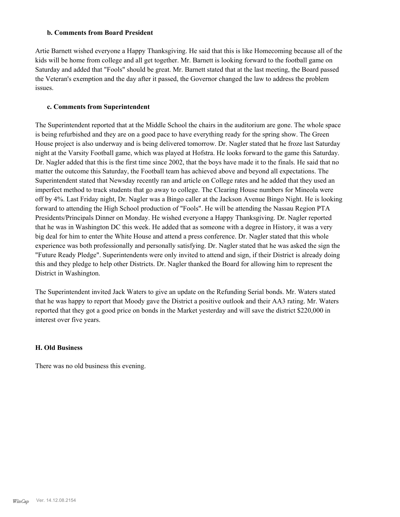### **b. Comments from Board President**

Artie Barnett wished everyone a Happy Thanksgiving. He said that this is like Homecoming because all of the kids will be home from college and all get together. Mr. Barnett is looking forward to the football game on Saturday and added that "Fools" should be great. Mr. Barnett stated that at the last meeting, the Board passed the Veteran's exemption and the day after it passed, the Governor changed the law to address the problem issues.

### **c. Comments from Superintendent**

The Superintendent reported that at the Middle School the chairs in the auditorium are gone. The whole space is being refurbished and they are on a good pace to have everything ready for the spring show. The Green House project is also underway and is being delivered tomorrow. Dr. Nagler stated that he froze last Saturday night at the Varsity Football game, which was played at Hofstra. He looks forward to the game this Saturday. Dr. Nagler added that this is the first time since 2002, that the boys have made it to the finals. He said that no matter the outcome this Saturday, the Football team has achieved above and beyond all expectations. The Superintendent stated that Newsday recently ran and article on College rates and he added that they used an imperfect method to track students that go away to college. The Clearing House numbers for Mineola were off by 4%. Last Friday night, Dr. Nagler was a Bingo caller at the Jackson Avenue Bingo Night. He is looking forward to attending the High School production of "Fools". He will be attending the Nassau Region PTA Presidents/Principals Dinner on Monday. He wished everyone a Happy Thanksgiving. Dr. Nagler reported that he was in Washington DC this week. He added that as someone with a degree in History, it was a very big deal for him to enter the White House and attend a press conference. Dr. Nagler stated that this whole experience was both professionally and personally satisfying. Dr. Nagler stated that he was asked the sign the "Future Ready Pledge". Superintendents were only invited to attend and sign, if their District is already doing this and they pledge to help other Districts. Dr. Nagler thanked the Board for allowing him to represent the District in Washington.

The Superintendent invited Jack Waters to give an update on the Refunding Serial bonds. Mr. Waters stated that he was happy to report that Moody gave the District a positive outlook and their AA3 rating. Mr. Waters reported that they got a good price on bonds in the Market yesterday and will save the district \$220,000 in interest over five years.

### **H. Old Business**

There was no old business this evening.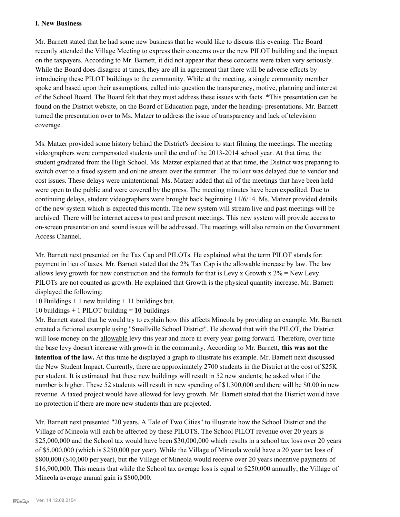### **I. New Business**

Mr. Barnett stated that he had some new business that he would like to discuss this evening. The Board recently attended the Village Meeting to express their concerns over the new PILOT building and the impact on the taxpayers. According to Mr. Barnett, it did not appear that these concerns were taken very seriously. While the Board does disagree at times, they are all in agreement that there will be adverse effects by introducing these PILOT buildings to the community. While at the meeting, a single community member spoke and based upon their assumptions, called into question the transparency, motive, planning and interest of the School Board. The Board felt that they must address these issues with facts. \*This presentation can be found on the District website, on the Board of Education page, under the heading- presentations. Mr. Barnett turned the presentation over to Ms. Matzer to address the issue of transparency and lack of television coverage.

Ms. Matzer provided some history behind the District's decision to start filming the meetings. The meeting videographers were compensated students until the end of the 2013-2014 school year. At that time, the student graduated from the High School. Ms. Matzer explained that at that time, the District was preparing to switch over to a fixed system and online stream over the summer. The rollout was delayed due to vendor and cost issues. These delays were unintentional. Ms. Matzer added that all of the meetings that have been held were open to the public and were covered by the press. The meeting minutes have been expedited. Due to continuing delays, student videographers were brought back beginning 11/6/14. Ms. Matzer provided details of the new system which is expected this month. The new system will stream live and past meetings will be archived. There will be internet access to past and present meetings. This new system will provide access to on-screen presentation and sound issues will be addressed. The meetings will also remain on the Government Access Channel.

Mr. Barnett next presented on the Tax Cap and PILOTs. He explained what the term PILOT stands for: payment in lieu of taxes. Mr. Barnett stated that the 2% Tax Cap is the allowable increase by law. The law allows levy growth for new construction and the formula for that is Levy x Growth x  $2\%$  = New Levy. PILOTs are not counted as growth. He explained that Growth is the physical quantity increase. Mr. Barnett displayed the following:

10 Buildings  $+ 1$  new building  $+ 11$  buildings but,

10 buildings + 1 PILOT building = **10** buildings.

Mr. Barnett stated that he would try to explain how this affects Mineola by providing an example. Mr. Barnett created a fictional example using "Smallville School District". He showed that with the PILOT, the District will lose money on the allowable levy this year and more in every year going forward. Therefore, over time the base levy doesn't increase with growth in the community. According to Mr. Barnett, **this was not the intention of the law.** At this time he displayed a graph to illustrate his example. Mr. Barnett next discussed the New Student Impact. Currently, there are approximately 2700 students in the District at the cost of \$25K per student. It is estimated that these new buildings will result in 52 new students; he asked what if the number is higher. These 52 students will result in new spending of \$1,300,000 and there will be \$0.00 in new revenue. A taxed project would have allowed for levy growth. Mr. Barnett stated that the District would have no protection if there are more new students than are projected.

Mr. Barnett next presented "20 years. A Tale of Two Cities" to illustrate how the School District and the Village of Mineola will each be affected by these PILOTS. The School PILOT revenue over 20 years is \$25,000,000 and the School tax would have been \$30,000,000 which results in a school tax loss over 20 years of \$5,000,000 (which is \$250,000 per year). While the Village of Mineola would have a 20 year tax loss of \$800,000 (\$40,000 per year), but the Village of Mineola would receive over 20 years incentive payments of \$16,900,000. This means that while the School tax average loss is equal to \$250,000 annually; the Village of Mineola average annual gain is \$800,000.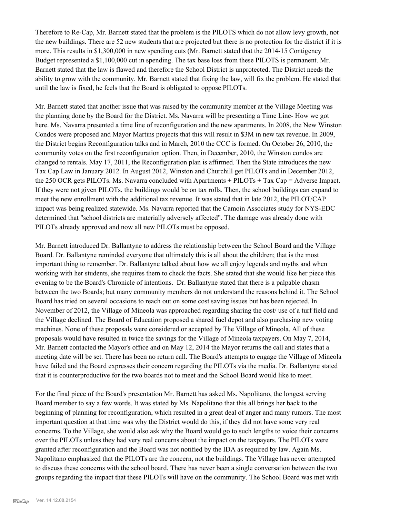Therefore to Re-Cap, Mr. Barnett stated that the problem is the PILOTS which do not allow levy growth, not the new buildings. There are 52 new students that are projected but there is no protection for the district if it is more. This results in \$1,300,000 in new spending cuts (Mr. Barnett stated that the 2014-15 Contigency Budget represented a \$1,100,000 cut in spending. The tax base loss from these PILOTS is permanent. Mr. Barnett stated that the law is flawed and therefore the School District is unprotected. The District needs the ability to grow with the community. Mr. Barnett stated that fixing the law, will fix the problem. He stated that until the law is fixed, he feels that the Board is obligated to oppose PILOTs.

Mr. Barnett stated that another issue that was raised by the community member at the Village Meeting was the planning done by the Board for the District. Ms. Navarra will be presenting a Time Line- How we got here. Ms. Navarra presented a time line of reconfiguration and the new apartments. In 2008, the New Winston Condos were proposed and Mayor Martins projects that this will result in \$3M in new tax revenue. In 2009, the District begins Reconfiguration talks and in March, 2010 the CCC is formed. On October 26, 2010, the community votes on the first reconfiguration option. Then, in December, 2010, the Winston condos are changed to rentals. May 17, 2011, the Reconfiguration plan is affirmed. Then the State introduces the new Tax Cap Law in January 2012. In August 2012, Winston and Churchill get PILOTs and in December 2012, the 250 OCR gets PILOTs. Ms. Navarra concluded with Apartments + PILOTs + Tax Cap = Adverse Impact. If they were not given PILOTs, the buildings would be on tax rolls. Then, the school buildings can expand to meet the new enrollment with the additional tax revenue. It was stated that in late 2012, the PILOT/CAP impact was being realized statewide. Ms. Navarra reported that the Camoin Associates study for NYS-EDC determined that "school districts are materially adversely affected". The damage was already done with PILOTs already approved and now all new PILOTs must be opposed.

Mr. Barnett introduced Dr. Ballantyne to address the relationship between the School Board and the Village Board. Dr. Ballantyne reminded everyone that ultimately this is all about the children; that is the most important thing to remember. Dr. Ballantyne talked about how we all enjoy legends and myths and when working with her students, she requires them to check the facts. She stated that she would like her piece this evening to be the Board's Chronicle of intentions. Dr. Ballantyne stated that there is a palpable chasm between the two Boards; but many community members do not understand the reasons behind it. The School Board has tried on several occasions to reach out on some cost saving issues but has been rejected. In November of 2012, the Village of Mineola was approached regarding sharing the cost/ use of a turf field and the Village declined. The Board of Education proposed a shared fuel depot and also purchasing new voting machines. None of these proposals were considered or accepted by The Village of Mineola. All of these proposals would have resulted in twice the savings for the Village of Mineola taxpayers. On May 7, 2014, Mr. Barnett contacted the Mayor's office and on May 12, 2014 the Mayor returns the call and states that a meeting date will be set. There has been no return call. The Board's attempts to engage the Village of Mineola have failed and the Board expresses their concern regarding the PILOTs via the media. Dr. Ballantyne stated that it is counterproductive for the two boards not to meet and the School Board would like to meet.

For the final piece of the Board's presentation Mr. Barnett has asked Ms. Napolitano, the longest serving Board member to say a few words. It was stated by Ms. Napolitano that this all brings her back to the beginning of planning for reconfiguration, which resulted in a great deal of anger and many rumors. The most important question at that time was why the District would do this, if they did not have some very real concerns. To the Village, she would also ask why the Board would go to such lengths to voice their concerns over the PILOTs unless they had very real concerns about the impact on the taxpayers. The PILOTs were granted after reconfiguration and the Board was not notified by the IDA as required by law. Again Ms. Napolitano emphasized that the PILOTs are the concern, not the buildings. The Village has never attempted to discuss these concerns with the school board. There has never been a single conversation between the two groups regarding the impact that these PILOTs will have on the community. The School Board was met with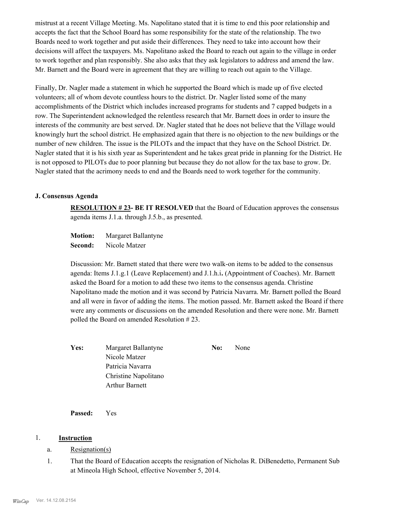mistrust at a recent Village Meeting. Ms. Napolitano stated that it is time to end this poor relationship and accepts the fact that the School Board has some responsibility for the state of the relationship. The two Boards need to work together and put aside their differences. They need to take into account how their decisions will affect the taxpayers. Ms. Napolitano asked the Board to reach out again to the village in order to work together and plan responsibly. She also asks that they ask legislators to address and amend the law. Mr. Barnett and the Board were in agreement that they are willing to reach out again to the Village.

Finally, Dr. Nagler made a statement in which he supported the Board which is made up of five elected volunteers; all of whom devote countless hours to the district. Dr. Nagler listed some of the many accomplishments of the District which includes increased programs for students and 7 capped budgets in a row. The Superintendent acknowledged the relentless research that Mr. Barnett does in order to insure the interests of the community are best served. Dr. Nagler stated that he does not believe that the Village would knowingly hurt the school district. He emphasized again that there is no objection to the new buildings or the number of new children. The issue is the PILOTs and the impact that they have on the School District. Dr. Nagler stated that it is his sixth year as Superintendent and he takes great pride in planning for the District. He is not opposed to PILOTs due to poor planning but because they do not allow for the tax base to grow. Dr. Nagler stated that the acrimony needs to end and the Boards need to work together for the community.

### **J. Consensus Agenda**

**RESOLUTION # 23- BE IT RESOLVED** that the Board of Education approves the consensus agenda items J.1.a. through J.5.b., as presented.

**Motion:** Margaret Ballantyne **Second:** Nicole Matzer

Discussion: Mr. Barnett stated that there were two walk-on items to be added to the consensus agenda: Items J.1.g.1 (Leave Replacement) and J.1.h.i**.** (Appointment of Coaches). Mr. Barnett asked the Board for a motion to add these two items to the consensus agenda. Christine Napolitano made the motion and it was second by Patricia Navarra. Mr. Barnett polled the Board and all were in favor of adding the items. The motion passed. Mr. Barnett asked the Board if there were any comments or discussions on the amended Resolution and there were none. Mr. Barnett polled the Board on amended Resolution # 23.

| Yes: | Margaret Ballantyne   | No: | None |
|------|-----------------------|-----|------|
|      | Nicole Matzer         |     |      |
|      | Patricia Navarra      |     |      |
|      | Christine Napolitano  |     |      |
|      | <b>Arthur Barnett</b> |     |      |

**Passed:** Yes

### 1. **Instruction**

- a. Resignation(s)
- That the Board of Education accepts the resignation of Nicholas R. DiBenedetto, Permanent Sub at Mineola High School, effective November 5, 2014. 1.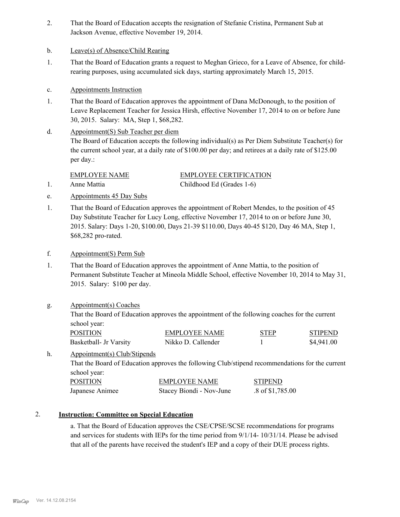- That the Board of Education accepts the resignation of Stefanie Cristina, Permanent Sub at Jackson Avenue, effective November 19, 2014. 2.
- b. Leave(s) of Absence/Child Rearing
- That the Board of Education grants a request to Meghan Grieco, for a Leave of Absence, for childrearing purposes, using accumulated sick days, starting approximately March 15, 2015. 1.
- c. Appointments Instruction
- That the Board of Education approves the appointment of Dana McDonough, to the position of Leave Replacement Teacher for Jessica Hirsh, effective November 17, 2014 to on or before June 30, 2015. Salary: MA, Step 1, \$68,282. 1.
- Appointment(S) Sub Teacher per diem The Board of Education accepts the following individual(s) as Per Diem Substitute Teacher(s) for the current school year, at a daily rate of \$100.00 per day; and retirees at a daily rate of \$125.00 per day.: d.

EMPLOYEE NAME EMPLOYEE CERTIFICATION 1. Anne Mattia Childhood Ed (Grades 1-6)

- e. Appointments 45 Day Subs
- That the Board of Education approves the appointment of Robert Mendes, to the position of 45 Day Substitute Teacher for Lucy Long, effective November 17, 2014 to on or before June 30, 2015. Salary: Days 1-20, \$100.00, Days 21-39 \$110.00, Days 40-45 \$120, Day 46 MA, Step 1, \$68,282 pro-rated. 1.
- f. Appointment(S) Perm Sub
- That the Board of Education approves the appointment of Anne Mattia, to the position of Permanent Substitute Teacher at Mineola Middle School, effective November 10, 2014 to May 31, 2015. Salary: \$100 per day. 1.

### Appointment(s) Coaches g.

That the Board of Education approves the appointment of the following coaches for the current school year:

| <b>POSITION</b>        | <b>EMPLOYEE NAME</b> | <b>STEP</b> | <b>STIPEND</b> |
|------------------------|----------------------|-------------|----------------|
| Basketball- Jr Varsity | Nikko D. Callender   |             | \$4,941.00     |

#### Appointment(s) Club/Stipends h.

That the Board of Education approves the following Club/stipend recommendations for the current school year:

| <b>POSITION</b> | <b>EMPLOYEE NAME</b>     | <b>STIPEND</b>   |
|-----------------|--------------------------|------------------|
| Japanese Animee | Stacey Biondi - Nov-June | .8 of \$1,785.00 |

### 2. **Instruction: Committee on Special Education**

a. That the Board of Education approves the CSE/CPSE/SCSE recommendations for programs and services for students with IEPs for the time period from 9/1/14- 10/31/14. Please be advised that all of the parents have received the student's IEP and a copy of their DUE process rights.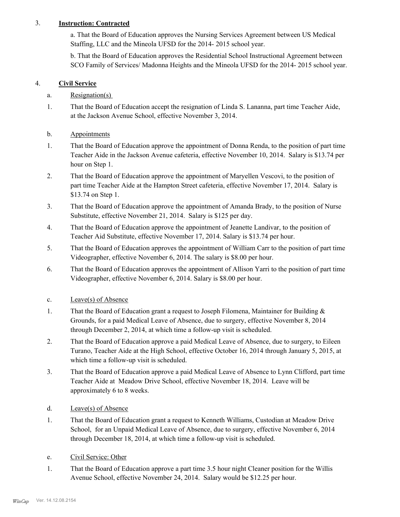### 3. **Instruction: Contracted**

a. That the Board of Education approves the Nursing Services Agreement between US Medical Staffing, LLC and the Mineola UFSD for the 2014- 2015 school year.

b. That the Board of Education approves the Residential School Instructional Agreement between SCO Family of Services/ Madonna Heights and the Mineola UFSD for the 2014- 2015 school year.

### 4. **Civil Service**

### a. Resignation(s)

- That the Board of Education accept the resignation of Linda S. Lananna, part time Teacher Aide, at the Jackson Avenue School, effective November 3, 2014. 1.
- b. Appointments
- That the Board of Education approve the appointment of Donna Renda, to the position of part time Teacher Aide in the Jackson Avenue cafeteria, effective November 10, 2014. Salary is \$13.74 per hour on Step 1. 1.
- That the Board of Education approve the appointment of Maryellen Vescovi, to the position of part time Teacher Aide at the Hampton Street cafeteria, effective November 17, 2014. Salary is \$13.74 on Step 1. 2.
- That the Board of Education approve the appointment of Amanda Brady, to the position of Nurse Substitute, effective November 21, 2014. Salary is \$125 per day. 3.
- That the Board of Education approve the appointment of Jeanette Landivar, to the position of Teacher Aid Substitute, effective November 17, 2014. Salary is \$13.74 per hour. 4.
- That the Board of Education approves the appointment of William Carr to the position of part time Videographer, effective November 6, 2014. The salary is \$8.00 per hour. 5.
- That the Board of Education approves the appointment of Allison Yarri to the position of part time Videographer, effective November 6, 2014. Salary is \$8.00 per hour. 6.
- c. Leave(s) of Absence
- That the Board of Education grant a request to Joseph Filomena, Maintainer for Building  $\&$ Grounds, for a paid Medical Leave of Absence, due to surgery, effective November 8, 2014 through December 2, 2014, at which time a follow-up visit is scheduled. 1.
- That the Board of Education approve a paid Medical Leave of Absence, due to surgery, to Eileen Turano, Teacher Aide at the High School, effective October 16, 2014 through January 5, 2015, at which time a follow-up visit is scheduled. 2.
- That the Board of Education approve a paid Medical Leave of Absence to Lynn Clifford, part time Teacher Aide at Meadow Drive School, effective November 18, 2014. Leave will be approximately 6 to 8 weeks. 3.
- d. Leave(s) of Absence
- That the Board of Education grant a request to Kenneth Williams, Custodian at Meadow Drive School, for an Unpaid Medical Leave of Absence, due to surgery, effective November 6, 2014 through December 18, 2014, at which time a follow-up visit is scheduled. 1.
- e. Civil Service: Other
- That the Board of Education approve a part time 3.5 hour night Cleaner position for the Willis Avenue School, effective November 24, 2014. Salary would be \$12.25 per hour. 1.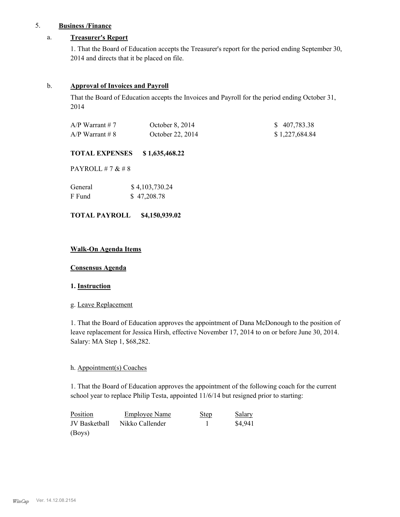### 5. **Business /Finance**

### a. **Treasurer's Report**

1. That the Board of Education accepts the Treasurer's report for the period ending September 30, 2014 and directs that it be placed on file.

### b. **Approval of Invoices and Payroll**

That the Board of Education accepts the Invoices and Payroll for the period ending October 31, 2014

| $A/P$ Warrant # 7 | October 8, 2014  | \$407,783.38   |
|-------------------|------------------|----------------|
| $A/P$ Warrant # 8 | October 22, 2014 | \$1,227,684.84 |

### **TOTAL EXPENSES \$ 1,635,468.22**

PAYROLL # 7 & # 8

| General | \$4,103,730.24 |
|---------|----------------|
| F Fund  | \$47,208.78    |

### **TOTAL PAYROLL \$4,150,939.02**

### **Walk-On Agenda Items**

**Consensus Agenda**

### **1. Instruction**

### g. Leave Replacement

1. That the Board of Education approves the appointment of Dana McDonough to the position of leave replacement for Jessica Hirsh, effective November 17, 2014 to on or before June 30, 2014. Salary: MA Step 1, \$68,282.

### h. Appointment(s) Coaches

1. That the Board of Education approves the appointment of the following coach for the current school year to replace Philip Testa, appointed 11/6/14 but resigned prior to starting:

| Position      | <b>Employee Name</b> | <b>Step</b> | Salary  |
|---------------|----------------------|-------------|---------|
| JV Basketball | Nikko Callender      |             | \$4.941 |
| (Boys)        |                      |             |         |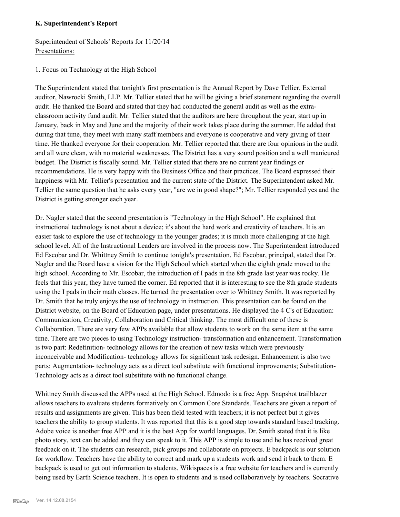### **K. Superintendent's Report**

### Superintendent of Schools' Reports for 11/20/14 Presentations:

### 1. Focus on Technology at the High School

The Superintendent stated that tonight's first presentation is the Annual Report by Dave Tellier, External auditor, Nawrocki Smith, LLP. Mr. Tellier stated that he will be giving a brief statement regarding the overall audit. He thanked the Board and stated that they had conducted the general audit as well as the extraclassroom activity fund audit. Mr. Tellier stated that the auditors are here throughout the year, start up in January, back in May and June and the majority of their work takes place during the summer. He added that during that time, they meet with many staff members and everyone is cooperative and very giving of their time. He thanked everyone for their cooperation. Mr. Tellier reported that there are four opinions in the audit and all were clean, with no material weaknesses. The District has a very sound position and a well manicured budget. The District is fiscally sound. Mr. Tellier stated that there are no current year findings or recommendations. He is very happy with the Business Office and their practices. The Board expressed their happiness with Mr. Tellier's presentation and the current state of the District. The Superintendent asked Mr. Tellier the same question that he asks every year, "are we in good shape?"; Mr. Tellier responded yes and the District is getting stronger each year.

Dr. Nagler stated that the second presentation is "Technology in the High School". He explained that instructional technology is not about a device; it's about the hard work and creativity of teachers. It is an easier task to explore the use of technology in the younger grades; it is much more challenging at the high school level. All of the Instructional Leaders are involved in the process now. The Superintendent introduced Ed Escobar and Dr. Whittney Smith to continue tonight's presentation. Ed Escobar, principal, stated that Dr. Nagler and the Board have a vision for the High School which started when the eighth grade moved to the high school. According to Mr. Escobar, the introduction of I pads in the 8th grade last year was rocky. He feels that this year, they have turned the corner. Ed reported that it is interesting to see the 8th grade students using the I pads in their math classes. He turned the presentation over to Whittney Smith. It was reported by Dr. Smith that he truly enjoys the use of technology in instruction. This presentation can be found on the District website, on the Board of Education page, under presentations. He displayed the 4 C's of Education: Communication, Creativity, Collaboration and Critical thinking. The most difficult one of these is Collaboration. There are very few APPs available that allow students to work on the same item at the same time. There are two pieces to using Technology instruction- transformation and enhancement. Transformation is two part: Redefinition- technology allows for the creation of new tasks which were previously inconceivable and Modification- technology allows for significant task redesign. Enhancement is also two parts: Augmentation- technology acts as a direct tool substitute with functional improvements; Substitution-Technology acts as a direct tool substitute with no functional change.

Whittney Smith discussed the APPs used at the High School. Edmodo is a free App. Snapshot trailblazer allows teachers to evaluate students formatively on Common Core Standards. Teachers are given a report of results and assignments are given. This has been field tested with teachers; it is not perfect but it gives teachers the ability to group students. It was reported that this is a good step towards standard based tracking. Adobe voice is another free APP and it is the best App for world languages. Dr. Smith stated that it is like photo story, text can be added and they can speak to it. This APP is simple to use and he has received great feedback on it. The students can research, pick groups and collaborate on projects. E backpack is our solution for workflow. Teachers have the ability to correct and mark up a students work and send it back to them. E backpack is used to get out information to students. Wikispaces is a free website for teachers and is currently being used by Earth Science teachers. It is open to students and is used collaboratively by teachers. Socrative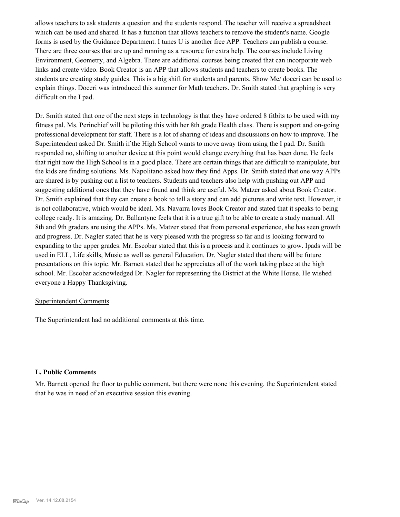allows teachers to ask students a question and the students respond. The teacher will receive a spreadsheet which can be used and shared. It has a function that allows teachers to remove the student's name. Google forms is used by the Guidance Department. I tunes U is another free APP. Teachers can publish a course. There are three courses that are up and running as a resource for extra help. The courses include Living Environment, Geometry, and Algebra. There are additional courses being created that can incorporate web links and create video. Book Creator is an APP that allows students and teachers to create books. The students are creating study guides. This is a big shift for students and parents. Show Me/ doceri can be used to explain things. Doceri was introduced this summer for Math teachers. Dr. Smith stated that graphing is very difficult on the I pad.

Dr. Smith stated that one of the next steps in technology is that they have ordered 8 fitbits to be used with my fitness pal. Ms. Perinchief will be piloting this with her 8th grade Health class. There is support and on-going professional development for staff. There is a lot of sharing of ideas and discussions on how to improve. The Superintendent asked Dr. Smith if the High School wants to move away from using the I pad. Dr. Smith responded no, shifting to another device at this point would change everything that has been done. He feels that right now the High School is in a good place. There are certain things that are difficult to manipulate, but the kids are finding solutions. Ms. Napolitano asked how they find Apps. Dr. Smith stated that one way APPs are shared is by pushing out a list to teachers. Students and teachers also help with pushing out APP and suggesting additional ones that they have found and think are useful. Ms. Matzer asked about Book Creator. Dr. Smith explained that they can create a book to tell a story and can add pictures and write text. However, it is not collaborative, which would be ideal. Ms. Navarra loves Book Creator and stated that it speaks to being college ready. It is amazing. Dr. Ballantyne feels that it is a true gift to be able to create a study manual. All 8th and 9th graders are using the APPs. Ms. Matzer stated that from personal experience, she has seen growth and progress. Dr. Nagler stated that he is very pleased with the progress so far and is looking forward to expanding to the upper grades. Mr. Escobar stated that this is a process and it continues to grow. Ipads will be used in ELL, Life skills, Music as well as general Education. Dr. Nagler stated that there will be future presentations on this topic. Mr. Barnett stated that he appreciates all of the work taking place at the high school. Mr. Escobar acknowledged Dr. Nagler for representing the District at the White House. He wished everyone a Happy Thanksgiving.

### Superintendent Comments

The Superintendent had no additional comments at this time.

### **L. Public Comments**

Mr. Barnett opened the floor to public comment, but there were none this evening. the Superintendent stated that he was in need of an executive session this evening.